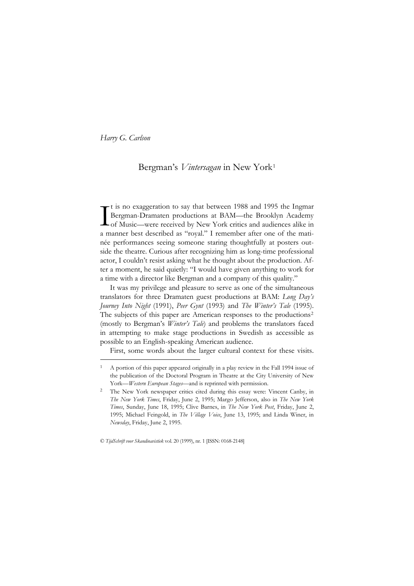<u>—</u>

# Bergman's *Vintersagan* in New York[1](#page-0-0)

t is no exaggeration to say that between 1988 and 1995 the Ingmar Bergman-Dramaten productions at BAM—the Brooklyn Academy The Music—were received by New York critics and audiences alike in the Music—were received by New York critics and audiences alike in the direction of Music—were received by New York critics and audiences alike in the dire a manner best described as "royal." I remember after one of the matinée performances seeing someone staring thoughtfully at posters outside the theatre. Curious after recognizing him as long-time professional actor, I couldn't resist asking what he thought about the production. After a moment, he said quietly: "I would have given anything to work for a time with a director like Bergman and a company of this quality."

It was my privilege and pleasure to serve as one of the simultaneous translators for three Dramaten guest productions at BAM: *Long Day's Journey Into Night* (1991), *Peer Gynt* (1993) and *The Winter's Tale* (1995). The subjects of this paper are American responses to the productions<sup>[2](#page-0-1)</sup> (mostly to Bergman's *Winter's Tale*) and problems the translators faced in attempting to make stage productions in Swedish as accessible as possible to an English-speaking American audience.

First, some words about the larger cultural context for these visits.

© *TijdSchrift voor Skandinavistiek* vol. 20 (1999), nr. 1 [ISSN: 0168-2148]

<span id="page-0-0"></span><sup>1</sup> A portion of this paper appeared originally in a play review in the Fall 1994 issue of the publication of the Doctoral Program in Theatre at the City University of New York—*Western European Stages*—and is reprinted with permission.

<span id="page-0-1"></span><sup>2</sup> The New York newspaper critics cited during this essay were: Vincent Canby, in *The New York Times*, Friday, June 2, 1995; Margo Jefferson, also in *The New York Times*, Sunday, June 18, 1995; Clive Barnes, in *The New York Post*, Friday, June 2, 1995; Michael Feingold, in *The Village Voice*, June 13, 1995; and Linda Winer, in *Newsday*, Friday, June 2, 1995.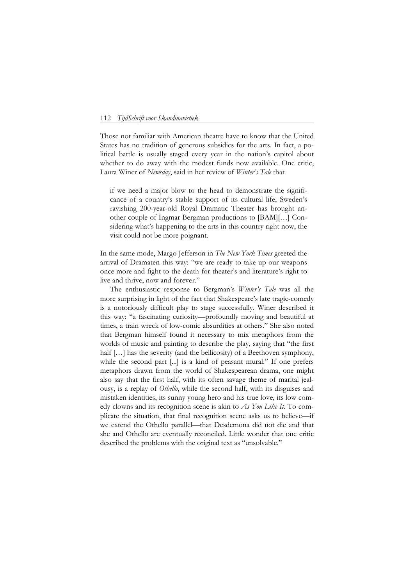Those not familiar with American theatre have to know that the United States has no tradition of generous subsidies for the arts. In fact, a political battle is usually staged every year in the nation's capitol about whether to do away with the modest funds now available. One critic, Laura Winer of *Newsday*, said in her review of *Winter's Tale* that

if we need a major blow to the head to demonstrate the significance of a country's stable support of its cultural life, Sweden's ravishing 200-year-old Royal Dramatic Theater has brought another couple of Ingmar Bergman productions to [BAM][…] Considering what's happening to the arts in this country right now, the visit could not be more poignant.

In the same mode, Margo Jefferson in *The New York Times* greeted the arrival of Dramaten this way: "we are ready to take up our weapons once more and fight to the death for theater's and literature's right to live and thrive, now and forever."

The enthusiastic response to Bergman's *Winter's Tale* was all the more surprising in light of the fact that Shakespeare's late tragic-comedy is a notoriously difficult play to stage successfully. Winer described it this way: "a fascinating curiosity—profoundly moving and beautiful at times, a train wreck of low-comic absurdities at others." She also noted that Bergman himself found it necessary to mix metaphors from the worlds of music and painting to describe the play, saying that "the first half [...] has the severity (and the bellicosity) of a Beethoven symphony, while the second part [...] is a kind of peasant mural." If one prefers metaphors drawn from the world of Shakespearean drama, one might also say that the first half, with its often savage theme of marital jealousy, is a replay of *Othello*, while the second half, with its disguises and mistaken identities, its sunny young hero and his true love, its low comedy clowns and its recognition scene is akin to *As You Like It*. To complicate the situation, that final recognition scene asks us to believe—if we extend the Othello parallel—that Desdemona did not die and that she and Othello are eventually reconciled. Little wonder that one critic described the problems with the original text as "unsolvable."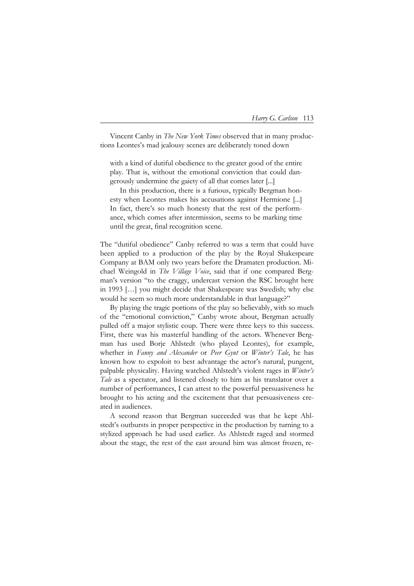Vincent Canby in *The New York Times* observed that in many productions Leontes's mad jealousy scenes are deliberately toned down

with a kind of dutiful obedience to the greater good of the entire play. That is, without the emotional conviction that could dangerously undermine the gaiety of all that comes later [...]

 In this production, there is a furious, typically Bergman honesty when Leontes makes his accusations against Hermione [...] In fact, there's so much honesty that the rest of the performance, which comes after intermission, seems to be marking time until the great, final recognition scene.

The "dutiful obedience" Canby referred to was a term that could have been applied to a production of the play by the Royal Shakespeare Company at BAM only two years before the Dramaten production. Michael Weingold in *The Village Voice*, said that if one compared Bergman's version "to the craggy, undercast version the RSC brought here in 1993 […] you might decide that Shakespeare was Swedish; why else would he seem so much more understandable in that language?"

By playing the tragic portions of the play so believably, with so much of the "emotional conviction," Canby wrote about, Bergman actually pulled off a major stylistic coup. There were three keys to this success. First, there was his masterful handling of the actors. Whenever Bergman has used Borje Ahlstedt (who played Leontes), for example, whether in *Fanny and Alexander* or *Peer Gynt* or *Winter's Tale*, he has known how to expoloit to best advantage the actor's natural, pungent, palpable physicality. Having watched Ahlstedt's violent rages in *Winter's Tale* as a spectator, and listened closely to him as his translator over a number of performances, I can attest to the powerful persuasiveness he brought to his acting and the excitement that that persuasiveness created in audiences.

A second reason that Bergman succeeded was that he kept Ahlstedt's outbursts in proper perspective in the production by turning to a stylized approach he had used earlier. As Ahlstedt raged and stormed about the stage, the rest of the cast around him was almost frozen, re-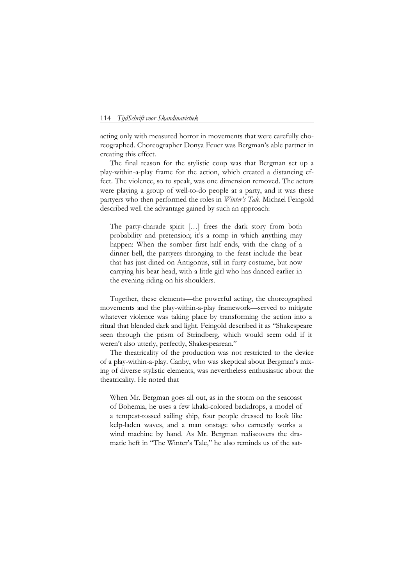acting only with measured horror in movements that were carefully choreographed. Choreographer Donya Feuer was Bergman's able partner in creating this effect.

The final reason for the stylistic coup was that Bergman set up a play-within-a-play frame for the action, which created a distancing effect. The violence, so to speak, was one dimension removed. The actors were playing a group of well-to-do people at a party, and it was these partyers who then performed the roles in *Winter's Tale*. Michael Feingold described well the advantage gained by such an approach:

The party-charade spirit […] frees the dark story from both probability and pretension; it's a romp in which anything may happen: When the somber first half ends, with the clang of a dinner bell, the partyers thronging to the feast include the bear that has just dined on Antigonus, still in furry costume, but now carrying his bear head, with a little girl who has danced earlier in the evening riding on his shoulders.

Together, these elements—the powerful acting, the choreographed movements and the play-within-a-play framework—served to mitigate whatever violence was taking place by transforming the action into a ritual that blended dark and light. Feingold described it as "Shakespeare seen through the prism of Strindberg, which would seem odd if it weren't also utterly, perfectly, Shakespearean."

The theatricality of the production was not restricted to the device of a play-within-a-play. Canby, who was skeptical about Bergman's mixing of diverse stylistic elements, was nevertheless enthusiastic about the theatricality. He noted that

 When Mr. Bergman goes all out, as in the storm on the seacoast of Bohemia, he uses a few khaki-colored backdrops, a model of a tempest-tossed sailing ship, four people dressed to look like kelp-laden waves, and a man onstage who earnestly works a wind machine by hand. As Mr. Bergman rediscovers the dramatic heft in "The Winter's Tale," he also reminds us of the sat-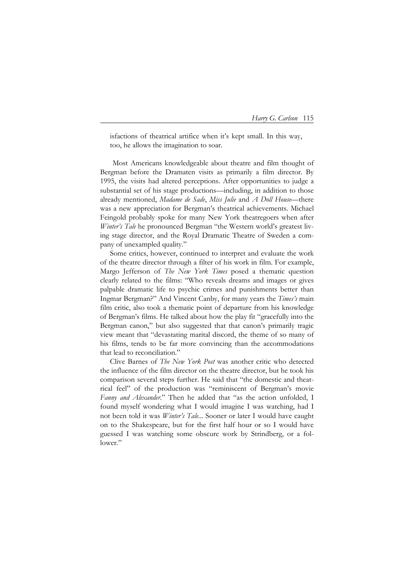isfactions of theatrical artifice when it's kept small. In this way, too, he allows the imagination to soar.

Most Americans knowledgeable about theatre and film thought of Bergman before the Dramaten visits as primarily a film director. By 1995, the visits had altered perceptions. After opportunities to judge a substantial set of his stage productions—including, in addition to those already mentioned, *Madame de Sade*, *Miss Julie* and *A Doll House*—there was a new appreciation for Bergman's theatrical achievements. Michael Feingold probably spoke for many New York theatregoers when after *Winter's Tale* he pronounced Bergman "the Western world's greatest living stage director, and the Royal Dramatic Theatre of Sweden a company of unexampled quality."

Some critics, however, continued to interpret and evaluate the work of the theatre director through a filter of his work in film. For example, Margo Jefferson of *The New York Times* posed a thematic question clearly related to the films: "Who reveals dreams and images or gives palpable dramatic life to psychic crimes and punishments better than Ingmar Bergman?" And Vincent Canby, for many years the *Times's* main film critic, also took a thematic point of departure from his knowledge of Bergman's films. He talked about how the play fit "gracefully into the Bergman canon," but also suggested that that canon's primarily tragic view meant that "devastating marital discord, the theme of so many of his films, tends to be far more convincing than the accommodations that lead to reconciliation."

Clive Barnes of *The New York Post* was another critic who detected the influence of the film director on the theatre director, but he took his comparison several steps further. He said that "the domestic and theatrical feel" of the production was "reminiscent of Bergman's movie *Fanny and Alexander*." Then he added that "as the action unfolded, I found myself wondering what I would imagine I was watching, had I not been told it was *Winter's Tale*... Sooner or later I would have caught on to the Shakespeare, but for the first half hour or so I would have guessed I was watching some obscure work by Strindberg, or a follower."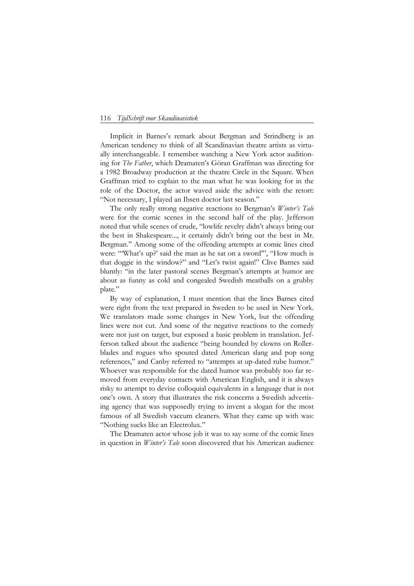Implicit in Barnes's remark about Bergman and Strindberg is an American tendency to think of all Scandinavian theatre artists as virtually interchangeable. I remember watching a New York actor auditioning for *The Father*, which Dramaten's Göran Graffman was directing for a 1982 Broadway production at the theatre Circle in the Square. When Graffman tried to explain to the man what he was looking for in the role of the Doctor, the actor waved aside the advice with the retort: "Not necessary, I played an Ibsen doctor last season."

The only really strong negative reactions to Bergman's *Winter's Tale* were for the comic scenes in the second half of the play. Jefferson noted that while scenes of crude, "lowlife revelry didn't always bring out the best in Shakespeare..., it certainly didn't bring out the best in Mr. Bergman." Among some of the offending attempts at comic lines cited were: "What's up?' said the man as he sat on a sword"', "How much is that doggie in the window?" and "Let's twist again!" Clive Barnes said bluntly: "in the later pastoral scenes Bergman's attempts at humor are about as funny as cold and congealed Swedish meatballs on a grubby plate."

By way of explanation, I must mention that the lines Barnes cited were right from the text prepared in Sweden to be used in New York. We translators made some changes in New York, but the offending lines were not cut. And some of the negative reactions to the comedy were not just on target, but exposed a basic problem in translation. Jefferson talked about the audience "being hounded by clowns on Rollerblades and rogues who spouted dated American slang and pop song references," and Canby referred to "attempts at up-dated rube humor." Whoever was responsible for the dated humor was probably too far removed from everyday contacts with American English, and it is always risky to attempt to devise colloquial equivalents in a language that is not one's own. A story that illustrates the risk concerns a Swedish advertising agency that was supposedly trying to invent a slogan for the most famous of all Swedish vaccum cleaners. What they came up with was: "Nothing sucks like an Electrolux."

The Dramaten actor whose job it was to say some of the comic lines in question in *Winter's Tale* soon discovered that his American audience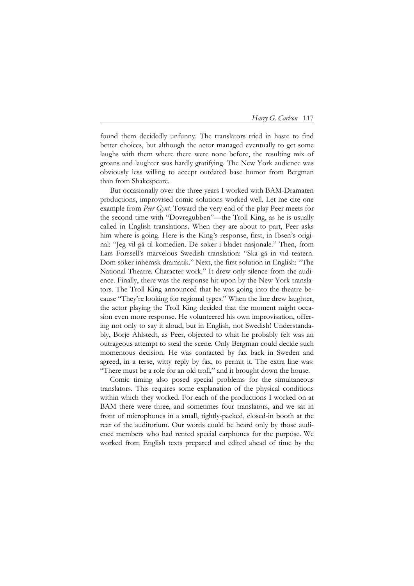|  |  |  | Harry G. Carlson | 117 |
|--|--|--|------------------|-----|
|--|--|--|------------------|-----|

found them decidedly unfunny. The translators tried in haste to find better choices, but although the actor managed eventually to get some laughs with them where there were none before, the resulting mix of groans and laughter was hardly gratifying. The New York audience was obviously less willing to accept outdated base humor from Bergman than from Shakespeare.

But occasionally over the three years I worked with BAM-Dramaten productions, improvised comic solutions worked well. Let me cite one example from *Peer Gynt*. Toward the very end of the play Peer meets for the second time with "Dovregubben"—the Troll King, as he is usually called in English translations. When they are about to part, Peer asks him where is going. Here is the King's response, first, in Ibsen's original: "Jeg vil gå til komedien. De søker i bladet nasjonale." Then, from Lars Forssell's marvelous Swedish translation: "Ska gå in vid teatern. Dom söker inhemsk dramatik." Next, the first solution in English: "The National Theatre. Character work." It drew only silence from the audience. Finally, there was the response hit upon by the New York translators. The Troll King announced that he was going into the theatre because "They're looking for regional types." When the line drew laughter, the actor playing the Troll King decided that the moment might occasion even more response. He volunteered his own improvisation, offering not only to say it aloud, but in English, not Swedish! Understandably, Borje Ahlstedt, as Peer, objected to what he probably felt was an outrageous attempt to steal the scene. Only Bergman could decide such momentous decision. He was contacted by fax back in Sweden and agreed, in a terse, witty reply by fax, to permit it. The extra line was: "There must be a role for an old troll," and it brought down the house.

Comic timing also posed special problems for the simultaneous translators. This requires some explanation of the physical conditions within which they worked. For each of the productions I worked on at BAM there were three, and sometimes four translators, and we sat in front of microphones in a small, tightly-packed, closed-in booth at the rear of the auditorium. Our words could be heard only by those audience members who had rented special earphones for the purpose. We worked from English texts prepared and edited ahead of time by the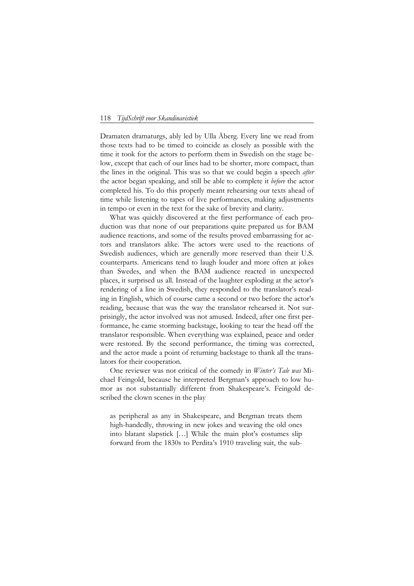Dramaten dramaturgs, ably led by Ulla Åberg. Every line we read from those texts had to be timed to coincide as closely as possible with the time it took for the actors to perform them in Swedish on the stage below, except that each of our lines had to be shorter, more compact, than the lines in the original. This was so that we could begin a speech *after* the actor began speaking, and still be able to complete it *before* the actor completed his. To do this properly meant rehearsing our texts ahead of time while listening to tapes of live performances, making adjustments in tempo or even in the text for the sake of brevity and clarity.

What was quickly discovered at the first performance of each production was that none of our preparations quite prepared us for BAM audience reactions, and some of the results proved embarrassing for actors and translators alike. The actors were used to the reactions of Swedish audiences, which are generally more reserved than their U.S. counterparts. Americans tend to laugh louder and more often at jokes than Swedes, and when the BAM audience reacted in unexpected places, it surprised us all. Instead of the laughter exploding at the actor's rendering of a line in Swedish, they responded to the translator's reading in English, which of course came a second or two before the actor's reading, because that was the way the translator rehearsed it. Not surprisingly, the actor involved was not amused. Indeed, after one first performance, he came storming backstage, looking to tear the head off the translator responsible. When everything was explained, peace and order were restored. By the second performance, the timing was corrected, and the actor made a point of returning backstage to thank all the translators for their cooperation.

One reviewer was not critical of the comedy in *Winter's Tale was* Michael Feingold, because he interpreted Bergman's approach to low humor as not substantially different from Shakespeare's. Feingold described the clown scenes in the play

as peripheral as any in Shakespeare, and Bergman treats them high-handedly, throwing in new jokes and weaving the old ones into blatant slapstick […] While the main plot's costumes slip forward from the 1830s to Perdita's 1910 traveling suit, the sub-